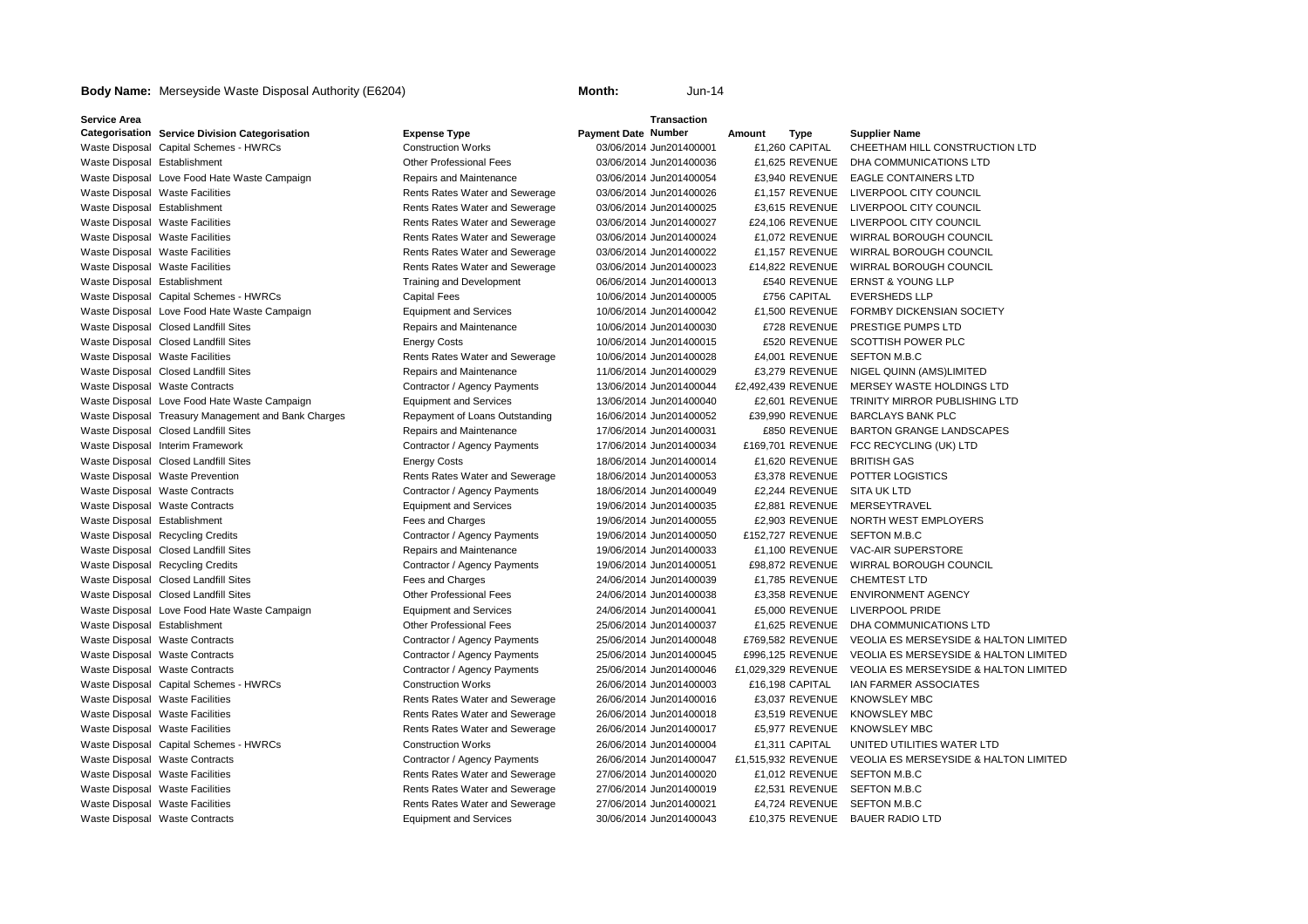## **Service Area**

**Categorisation** Service Division Categorisation **Bigger Act Categorisation Expense Type Payment Date** Number Waste Disposal Capital Schemes - HWRCs Construction Works Construction Works Construction Works CONSTRUCTION LTD Waste Disposal Establishment **Other Professional Fees** 03/06/2014 Jun201400036 £1,625 REVENUE DHA COMMUNICATIONS LTD Waste Disposal Love Food Hate Waste Campaign Repairs and Maintenance 03/06/2014 Jun201400054 £3,940 REVENUE EAGLE CONTAINERS LTD Waste Disposal Waste Facilities **Rents Rates Water and Sewerage** 03/06/2014 Jun201400026 £1,157 REVENUE LIVERPOOL CITY COUNCIL Waste Disposal Establishment **Rents Rates Water and Sewerage** 03/06/2014 Jun201400025 E3,615 REVENUE LIVERPOOL CITY COUNCIL Waste Disposal Waste Facilities **Rents Rates Water and Sewerage** 03/06/2014 Jun201400027 **E24,106 REVENUE LIVERPOOL CITY COUNCIL** Waste Disposal Waste Facilities **Rents Rates Water and Sewerage** 03/06/2014 Jun201400024 £1,072 REVENUE WIRRAL BOROUGH COUNCIL Waste Disposal Waste Facilities **Rents Rates Water and Sewerage** 03/06/2014 Jun201400022 E1,157 REVENUE WIRRAL BOROUGH COUNCIL Waste Disposal Waste Facilities **Rents Rates Water and Sewerage** 03/06/2014 Jun201400023 £14,822 REVENUE WIRRAL BOROUGH COUNCIL Waste Disposal Establishment Training and Development 06/06/2014 Jun201400013 E540 REVENUE ERNST & YOUNG LLP Waste Disposal Capital Schemes - HWRCs Capital Fees Capital Fees 10/06/2014 Jun201400005 E756 CAPITAL EVERSHEDS LLP Waste Disposal Love Food Hate Waste Campaign Equipment and Services 10/06/2014 Jun201400042 £1,500 REVENUE FORMBY DICKENSIAN SOCIETY Waste Disposal Closed Landfill Sites **Repairs and Maintenance** 10/06/2014 Jun201400030 E728 REVENUE PRESTIGE PUMPS LTD Waste Disposal Closed Landfill Sites **Energy Costs** Energy Costs 10/06/2014 Jun201400015 £520 REVENUE SCOTTISH POWER PLC Waste Disposal Waste Facilities **Rents Rates Water and Sewerage** 10/06/2014 Jun201400028 £4,001 REVENUE SEFTON M.B.C Waste Disposal Closed Landfill Sites **Repairs and Maintenance** 11/06/2014 Jun201400029 E3,279 REVENUE NIGEL QUINN (AMS)LIMITED Waste Disposal Waste Contracts **Contractive Contractor / Agency Payments** 13/06/2014 Jun201400044 £2,492,439 REVENUE MERSEY WASTE HOLDINGS LTD Waste Disposal Love Food Hate Waste Campaign Equipment and Services 13/06/2014 Jun201400040 £2,601 REVENUE TRINITY MIRROR PUBLISHING LTD Waste Disposal Treasury Management and Bank Charges Repayment of Loans Outstanding 16/06/2014 Jun201400052 £39,990 REVENUE BARCLAYS BANK PLC Waste Disposal Closed Landfill Sites **Repairs Acception** Repairs and Maintenance 17/06/2014 Jun201400031 E850 REVENUE BARTON GRANGE LANDSCAPES Waste Disposal Interim Framework **Contractor / Agency Payments** 17/06/2014 Jun201400034 £169,701 REVENUE FCC RECYCLING (UK) LTD Waste Disposal Closed Landfill Sites **Energy Costs** Energy Costs 18/06/2014 Jun201400014 £1,620 REVENUE BRITISH GAS Waste Disposal Waste Prevention **Rents Rates Water and Sewerage** 18/06/2014 Jun201400053 E3,378 REVENUE POTTER LOGISTICS Waste Disposal Waste Contracts **Contractive Contractor / Agency Payments** 18/06/2014 Jun201400049 £2,244 REVENUE SITA UK LTD Waste Disposal Waste Contracts **Equipment and Services** 19/06/2014 Jun201400035 £2,881 REVENUE MERSEYTRAVEL Waste Disposal Establishment **Fees and Charges** Fees and Charges 19/06/2014 Jun201400055 £2,903 REVENUE NORTH WEST EMPLOYERS Waste Disposal Recycling Credits **Contractor / Agency Payments** 19/06/2014 Jun201400050 £152,727 REVENUE SEFTON M.B.C Waste Disposal Closed Landfill Sites **Repairs and Maintenance** 19/06/2014 Jun201400033 £1,100 REVENUE VAC-AIR SUPERSTORE Waste Disposal Recycling Credits **Contractor / Agency Payments** 19/06/2014 Jun201400051 E98,872 REVENUE WIRRAL BOROUGH COUNCIL Waste Disposal Closed Landfill Sites **Fees and Charges** Fees and Charges 24/06/2014 Jun201400039 E1,785 REVENUE CHEMTEST LTD Waste Disposal Closed Landfill Sites **CHO CHO COTHER THE PROFESSIONAL FEES** 24/06/2014 Jun201400038 E3,358 REVENUE ENVIRONMENT AGENCY Waste Disposal Love Food Hate Waste Campaign Equipment and Services 24/06/2014 Jun201400041 £5,000 REVENUE LIVERPOOL PRIDE Waste Disposal Establishment **CHO CONTENT CONTENTS CONTENTS Of A CONTENTS CONTENTS OF A CONTENTS OF DEA COMMUNICATIONS LTD** Waste Disposal Waste Contracts **Contracts** Contractor / Agency Payments 25/06/2014 Jun201400048 £769,582 REVENUE VEOLIA ES MERSEYSIDE & HALTON LIMITED Waste Disposal Waste Contracts **Contracts** Contractor / Agency Payments 25/06/2014 Jun201400045 £996,125 REVENUE VEOLIA ES MERSEYSIDE & HALTON LIMITED Waste Disposal Waste Contracts **Contractical Contractor / Agency Payments** 25/06/2014 Jun201400046 £1,029,329 REVENUE VEOLIA ES MERSEYSIDE & HALTON LIMITED Waste Disposal Capital Schemes - HWRCs Construction Works 26/06/2014 Jun201400003 £16,198 CAPITAL IAN FARMER ASSOCIATES Waste Disposal Waste Facilities **Rents Rates Water and Sewerage** 26/06/2014 Jun201400016 £3,037 REVENUE KNOWSLEY MBC Waste Disposal Waste Facilities **Rents Rates Water and Sewerage** 26/06/2014 Jun201400018 E3,519 REVENUE KNOWSLEY MBC Waste Disposal Waste Facilities **Rents Rates Water and Sewerage** 26/06/2014 Jun201400017 E5,977 REVENUE KNOWSLEY MBC Waste Disposal Capital Schemes - HWRCs Construction Works 26/06/2014 Jun201400004 £1,311 CAPITAL UNITED UTILITIES WATER LTD Waste Disposal Waste Contracts **Contractive Contractor / Agency Payments** 26/06/2014 Jun201400047 £1,515,932 REVENUE VEOLIA ES MERSEYSIDE & HALTON LIMITED Waste Disposal Waste Facilities **Rents Rates Water and Sewerage** 27/06/2014 Jun201400020 £1,012 REVENUE SEFTON M.B.C Waste Disposal Waste Facilities **Rents Rates Water and Sewerage** 27/06/2014 Jun201400019 E2,531 REVENUE SEFTON M.B.C Waste Disposal Waste Facilities **Rents Rents Rates Water and Sewerage** 27/06/2014 Jun201400021 **E4,724 REVENUE** SEFTON M.B.C Waste Disposal Waste Contracts **Equipment and Services** 30/06/2014 Jun201400043 £10,375 REVENUE BAUER RADIO LTD

# **Body Name:** Merseyside Waste Disposal Authority (E6204) **Month:** Month: Jun-14

**Transaction** 

# **Number Amount Type Supplier Name**